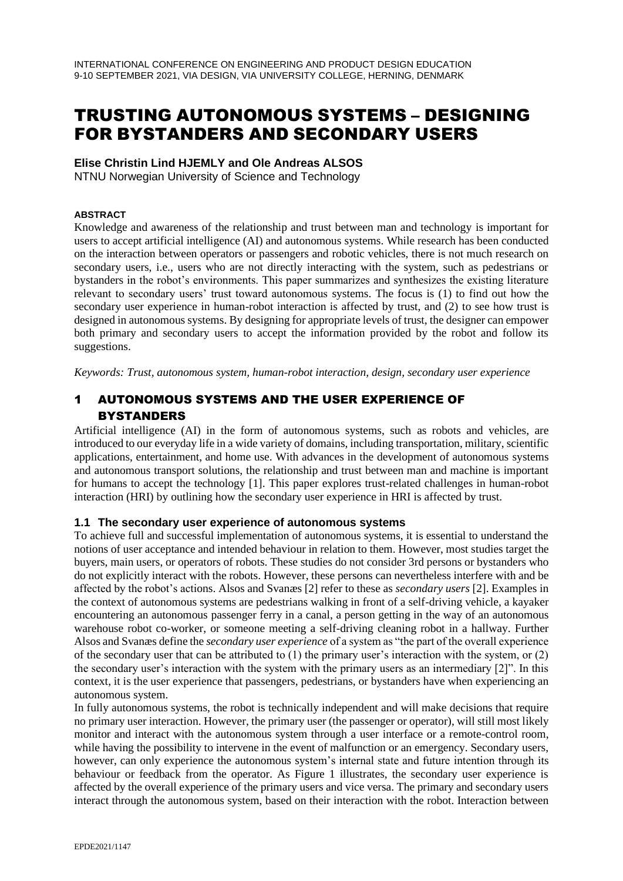# TRUSTING AUTONOMOUS SYSTEMS – DESIGNING FOR BYSTANDERS AND SECONDARY USERS

## **Elise Christin Lind HJEMLY and Ole Andreas ALSOS**

NTNU Norwegian University of Science and Technology

#### **ABSTRACT**

Knowledge and awareness of the relationship and trust between man and technology is important for users to accept artificial intelligence (AI) and autonomous systems. While research has been conducted on the interaction between operators or passengers and robotic vehicles, there is not much research on secondary users, i.e., users who are not directly interacting with the system, such as pedestrians or bystanders in the robot's environments. This paper summarizes and synthesizes the existing literature relevant to secondary users' trust toward autonomous systems. The focus is (1) to find out how the secondary user experience in human-robot interaction is affected by trust, and (2) to see how trust is designed in autonomous systems. By designing for appropriate levels of trust, the designer can empower both primary and secondary users to accept the information provided by the robot and follow its suggestions.

*Keywords: Trust, autonomous system, human-robot interaction, design, secondary user experience*

# 1 AUTONOMOUS SYSTEMS AND THE USER EXPERIENCE OF BYSTANDERS

Artificial intelligence (AI) in the form of autonomous systems, such as robots and vehicles, are introduced to our everyday life in a wide variety of domains, including transportation, military, scientific applications, entertainment, and home use. With advances in the development of autonomous systems and autonomous transport solutions, the relationship and trust between man and machine is important for humans to accept the technology [1]. This paper explores trust-related challenges in human-robot interaction (HRI) by outlining how the secondary user experience in HRI is affected by trust.

## **1.1 The secondary user experience of autonomous systems**

To achieve full and successful implementation of autonomous systems, it is essential to understand the notions of user acceptance and intended behaviour in relation to them. However, most studies target the buyers, main users, or operators of robots. These studies do not consider 3rd persons or bystanders who do not explicitly interact with the robots. However, these persons can nevertheless interfere with and be affected by the robot's actions. Alsos and Svanæs [2] refer to these as *secondary users* [2]. Examples in the context of autonomous systems are pedestrians walking in front of a self-driving vehicle, a kayaker encountering an autonomous passenger ferry in a canal, a person getting in the way of an autonomous warehouse robot co-worker, or someone meeting a self-driving cleaning robot in a hallway. Further Alsos and Svanæs define the *secondary user experience* of a system as "the part of the overall experience of the secondary user that can be attributed to  $(1)$  the primary user's interaction with the system, or  $(2)$ the secondary user's interaction with the system with the primary users as an intermediary [2]". In this context, it is the user experience that passengers, pedestrians, or bystanders have when experiencing an autonomous system.

In fully autonomous systems, the robot is technically independent and will make decisions that require no primary user interaction. However, the primary user (the passenger or operator), will still most likely monitor and interact with the autonomous system through a user interface or a remote-control room, while having the possibility to intervene in the event of malfunction or an emergency. Secondary users, however, can only experience the autonomous system's internal state and future intention through its behaviour or feedback from the operator. As Figure 1 illustrates, the secondary user experience is affected by the overall experience of the primary users and vice versa. The primary and secondary users interact through the autonomous system, based on their interaction with the robot. Interaction between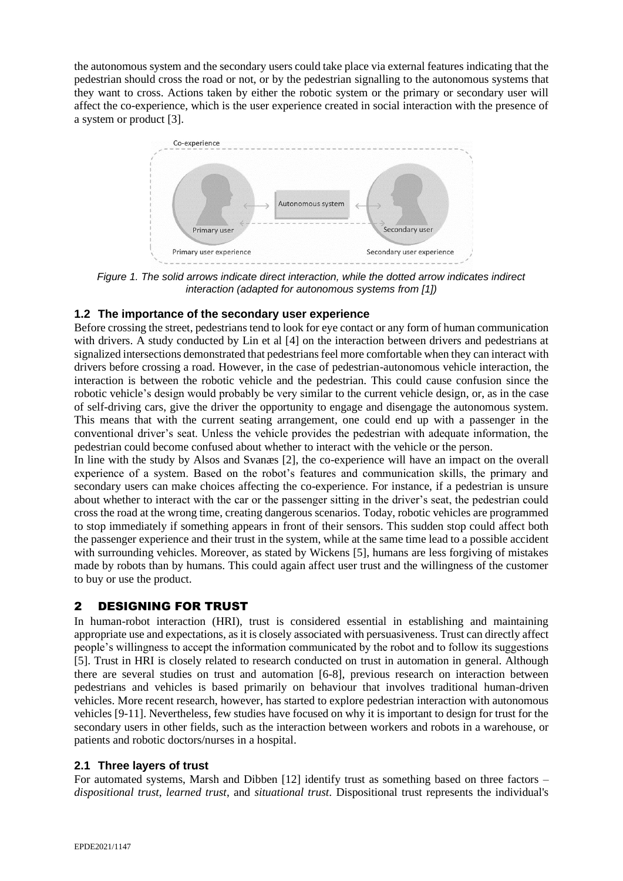the autonomous system and the secondary users could take place via external features indicating that the pedestrian should cross the road or not, or by the pedestrian signalling to the autonomous systems that they want to cross. Actions taken by either the robotic system or the primary or secondary user will affect the co-experience, which is the user experience created in social interaction with the presence of a system or product [3].



*Figure 1. The solid arrows indicate direct interaction, while the dotted arrow indicates indirect interaction (adapted for autonomous systems from [1])*

## **1.2 The importance of the secondary user experience**

Before crossing the street, pedestrians tend to look for eye contact or any form of human communication with drivers. A study conducted by Lin et al [4] on the interaction between drivers and pedestrians at signalized intersections demonstrated that pedestrians feel more comfortable when they can interact with drivers before crossing a road. However, in the case of pedestrian-autonomous vehicle interaction, the interaction is between the robotic vehicle and the pedestrian. This could cause confusion since the robotic vehicle's design would probably be very similar to the current vehicle design, or, as in the case of self-driving cars, give the driver the opportunity to engage and disengage the autonomous system. This means that with the current seating arrangement, one could end up with a passenger in the conventional driver's seat. Unless the vehicle provides the pedestrian with adequate information, the pedestrian could become confused about whether to interact with the vehicle or the person.

In line with the study by Alsos and Svanæs [2], the co-experience will have an impact on the overall experience of a system. Based on the robot's features and communication skills, the primary and secondary users can make choices affecting the co-experience. For instance, if a pedestrian is unsure about whether to interact with the car or the passenger sitting in the driver's seat, the pedestrian could cross the road at the wrong time, creating dangerous scenarios. Today, robotic vehicles are programmed to stop immediately if something appears in front of their sensors. This sudden stop could affect both the passenger experience and their trust in the system, while at the same time lead to a possible accident with surrounding vehicles. Moreover, as stated by Wickens [5], humans are less forgiving of mistakes made by robots than by humans. This could again affect user trust and the willingness of the customer to buy or use the product.

# 2 DESIGNING FOR TRUST

In human-robot interaction (HRI), trust is considered essential in establishing and maintaining appropriate use and expectations, as it is closely associated with persuasiveness. Trust can directly affect people's willingness to accept the information communicated by the robot and to follow its suggestions [5]. Trust in HRI is closely related to research conducted on trust in automation in general. Although there are several studies on trust and automation [6-8], previous research on interaction between pedestrians and vehicles is based primarily on behaviour that involves traditional human-driven vehicles. More recent research, however, has started to explore pedestrian interaction with autonomous vehicles [9-11]. Nevertheless, few studies have focused on why it is important to design for trust for the secondary users in other fields, such as the interaction between workers and robots in a warehouse, or patients and robotic doctors/nurses in a hospital.

## **2.1 Three layers of trust**

For automated systems, Marsh and Dibben [12] identify trust as something based on three factors – *dispositional trust*, *learned trust*, and *situational trust*. Dispositional trust represents the individual's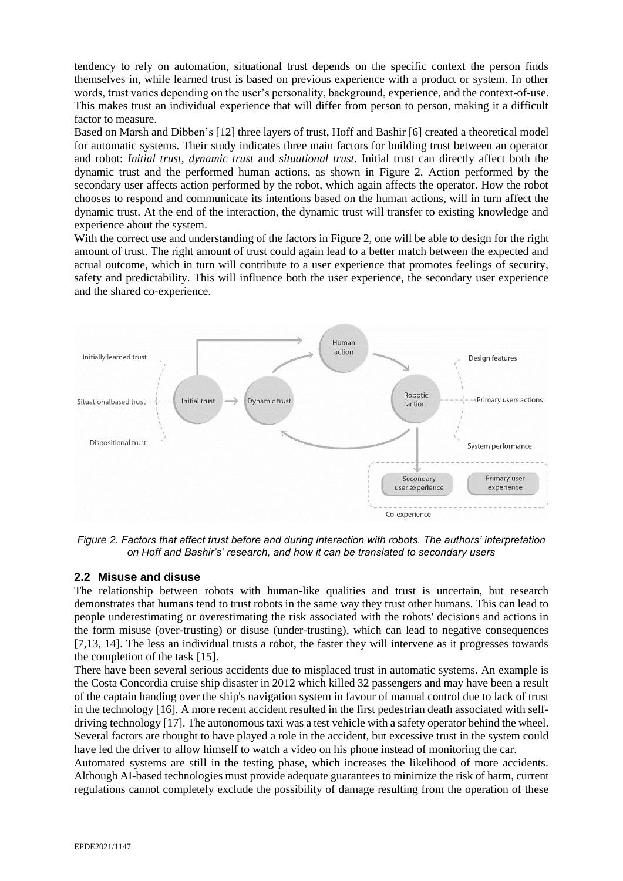tendency to rely on automation, situational trust depends on the specific context the person finds themselves in, while learned trust is based on previous experience with a product or system. In other words, trust varies depending on the user's personality, background, experience, and the context-of-use. This makes trust an individual experience that will differ from person to person, making it a difficult factor to measure.

Based on Marsh and Dibben's [12] three layers of trust, Hoff and Bashir [6] created a theoretical model for automatic systems. Their study indicates three main factors for building trust between an operator and robot: *Initial trust*, *dynamic trust* and *situational trust*. Initial trust can directly affect both the dynamic trust and the performed human actions, as shown in Figure 2. Action performed by the secondary user affects action performed by the robot, which again affects the operator. How the robot chooses to respond and communicate its intentions based on the human actions, will in turn affect the dynamic trust. At the end of the interaction, the dynamic trust will transfer to existing knowledge and experience about the system.

With the correct use and understanding of the factors in Figure 2, one will be able to design for the right amount of trust. The right amount of trust could again lead to a better match between the expected and actual outcome, which in turn will contribute to a user experience that promotes feelings of security, safety and predictability. This will influence both the user experience, the secondary user experience and the shared co-experience.



*Figure 2. Factors that affect trust before and during interaction with robots. The authors' interpretation on Hoff and Bashir's' research, and how it can be translated to secondary users*

## **2.2 Misuse and disuse**

The relationship between robots with human-like qualities and trust is uncertain, but research demonstrates that humans tend to trust robots in the same way they trust other humans. This can lead to people underestimating or overestimating the risk associated with the robots' decisions and actions in the form misuse (over-trusting) or disuse (under-trusting), which can lead to negative consequences [7,13, 14]. The less an individual trusts a robot, the faster they will intervene as it progresses towards the completion of the task [15].

There have been several serious accidents due to misplaced trust in automatic systems. An example is the Costa Concordia cruise ship disaster in 2012 which killed 32 passengers and may have been a result of the captain handing over the ship's navigation system in favour of manual control due to lack of trust in the technology [16]. A more recent accident resulted in the first pedestrian death associated with selfdriving technology [17]. The autonomous taxi was a test vehicle with a safety operator behind the wheel. Several factors are thought to have played a role in the accident, but excessive trust in the system could have led the driver to allow himself to watch a video on his phone instead of monitoring the car.

Automated systems are still in the testing phase, which increases the likelihood of more accidents. Although AI-based technologies must provide adequate guarantees to minimize the risk of harm, current regulations cannot completely exclude the possibility of damage resulting from the operation of these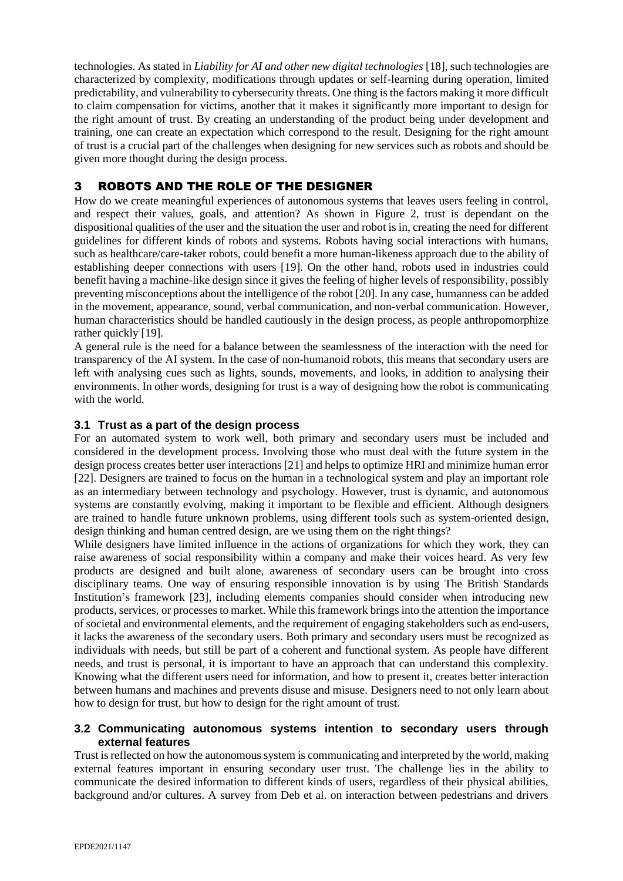technologies. As stated in *Liability for AI and other new digital technologies* [18], such technologies are characterized by complexity, modifications through updates or self-learning during operation, limited predictability, and vulnerability to cybersecurity threats. One thing is the factors making it more difficult to claim compensation for victims, another that it makes it significantly more important to design for the right amount of trust. By creating an understanding of the product being under development and training, one can create an expectation which correspond to the result. Designing for the right amount of trust is a crucial part of the challenges when designing for new services such as robots and should be given more thought during the design process.

# 3 ROBOTS AND THE ROLE OF THE DESIGNER

How do we create meaningful experiences of autonomous systems that leaves users feeling in control, and respect their values, goals, and attention? As shown in Figure 2, trust is dependant on the dispositional qualities of the user and the situation the user and robot is in, creating the need for different guidelines for different kinds of robots and systems. Robots having social interactions with humans, such as healthcare/care-taker robots, could benefit a more human-likeness approach due to the ability of establishing deeper connections with users [19]. On the other hand, robots used in industries could benefit having a machine-like design since it gives the feeling of higher levels of responsibility, possibly preventing misconceptions about the intelligence of the robot [20]. In any case, humanness can be added in the movement, appearance, sound, verbal communication, and non-verbal communication. However, human characteristics should be handled cautiously in the design process, as people anthropomorphize rather quickly [19].

A general rule is the need for a balance between the seamlessness of the interaction with the need for transparency of the AI system. In the case of non-humanoid robots, this means that secondary users are left with analysing cues such as lights, sounds, movements, and looks, in addition to analysing their environments. In other words, designing for trust is a way of designing how the robot is communicating with the world.

## **3.1 Trust as a part of the design process**

For an automated system to work well, both primary and secondary users must be included and considered in the development process. Involving those who must deal with the future system in the design process creates better user interactions [21] and helps to optimize HRI and minimize human error [22]. Designers are trained to focus on the human in a technological system and play an important role as an intermediary between technology and psychology. However, trust is dynamic, and autonomous systems are constantly evolving, making it important to be flexible and efficient. Although designers are trained to handle future unknown problems, using different tools such as system-oriented design, design thinking and human centred design, are we using them on the right things?

While designers have limited influence in the actions of organizations for which they work, they can raise awareness of social responsibility within a company and make their voices heard. As very few products are designed and built alone, awareness of secondary users can be brought into cross disciplinary teams. One way of ensuring responsible innovation is by using The British Standards Institution's framework [23], including elements companies should consider when introducing new products, services, or processes to market. While this framework brings into the attention the importance of societal and environmental elements, and the requirement of engaging stakeholders such as end-users, it lacks the awareness of the secondary users. Both primary and secondary users must be recognized as individuals with needs, but still be part of a coherent and functional system. As people have different needs, and trust is personal, it is important to have an approach that can understand this complexity. Knowing what the different users need for information, and how to present it, creates better interaction between humans and machines and prevents disuse and misuse. Designers need to not only learn about how to design for trust, but how to design for the right amount of trust.

#### **3.2 Communicating autonomous systems intention to secondary users through external features**

Trust is reflected on how the autonomous system is communicating and interpreted by the world, making external features important in ensuring secondary user trust. The challenge lies in the ability to communicate the desired information to different kinds of users, regardless of their physical abilities, background and/or cultures. A survey from Deb et al. on interaction between pedestrians and drivers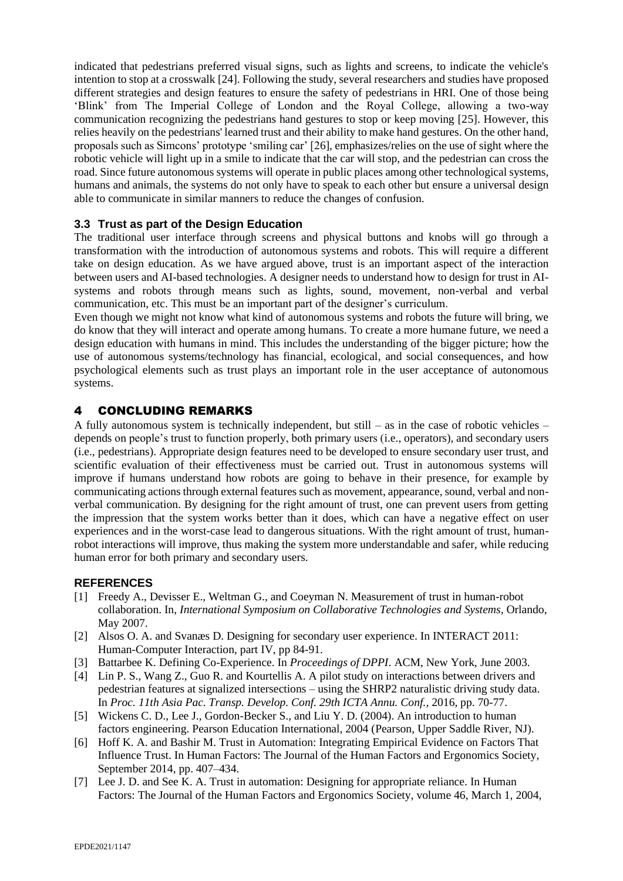indicated that pedestrians preferred visual signs, such as lights and screens, to indicate the vehicle's intention to stop at a crosswalk [24]. Following the study, several researchers and studies have proposed different strategies and design features to ensure the safety of pedestrians in HRI. One of those being 'Blink' from The Imperial College of London and the Royal College, allowing a two-way communication recognizing the pedestrians hand gestures to stop or keep moving [25]. However, this relies heavily on the pedestrians' learned trust and their ability to make hand gestures. On the other hand, proposals such as Simcons' prototype 'smiling car' [26], emphasizes/relies on the use of sight where the robotic vehicle will light up in a smile to indicate that the car will stop, and the pedestrian can cross the road. Since future autonomous systems will operate in public places among other technological systems, humans and animals, the systems do not only have to speak to each other but ensure a universal design able to communicate in similar manners to reduce the changes of confusion.

## **3.3 Trust as part of the Design Education**

The traditional user interface through screens and physical buttons and knobs will go through a transformation with the introduction of autonomous systems and robots. This will require a different take on design education. As we have argued above, trust is an important aspect of the interaction between users and AI-based technologies. A designer needs to understand how to design for trust in AIsystems and robots through means such as lights, sound, movement, non-verbal and verbal communication, etc. This must be an important part of the designer's curriculum.

Even though we might not know what kind of autonomous systems and robots the future will bring, we do know that they will interact and operate among humans. To create a more humane future, we need a design education with humans in mind. This includes the understanding of the bigger picture; how the use of autonomous systems/technology has financial, ecological, and social consequences, and how psychological elements such as trust plays an important role in the user acceptance of autonomous systems.

## 4 CONCLUDING REMARKS

A fully autonomous system is technically independent, but still – as in the case of robotic vehicles – depends on people's trust to function properly, both primary users (i.e., operators), and secondary users (i.e., pedestrians). Appropriate design features need to be developed to ensure secondary user trust, and scientific evaluation of their effectiveness must be carried out. Trust in autonomous systems will improve if humans understand how robots are going to behave in their presence, for example by communicating actions through external features such as movement, appearance, sound, verbal and nonverbal communication. By designing for the right amount of trust, one can prevent users from getting the impression that the system works better than it does, which can have a negative effect on user experiences and in the worst-case lead to dangerous situations. With the right amount of trust, humanrobot interactions will improve, thus making the system more understandable and safer, while reducing human error for both primary and secondary users.

#### **REFERENCES**

- [1] Freedy A., Devisser E., Weltman G., and Coeyman N. Measurement of trust in human-robot collaboration. In, *International Symposium on Collaborative Technologies and Systems,* Orlando, May 2007.
- [2] Alsos O. A. and Svanæs D. Designing for secondary user experience. In INTERACT 2011: Human-Computer Interaction, part IV, pp 84-91.
- [3] Battarbee K. Defining Co-Experience. In *Proceedings of DPPI*. ACM, New York, June 2003.
- [4] Lin P. S., Wang Z., Guo R. and Kourtellis A. A pilot study on interactions between drivers and pedestrian features at signalized intersections – using the SHRP2 naturalistic driving study data. In *Proc. 11th Asia Pac. Transp. Develop. Conf. 29th ICTA Annu. Conf.,* 2016, pp. 70-77.
- [5] Wickens C. D., Lee J., Gordon-Becker S., and Liu Y. D. (2004). An introduction to human factors engineering. Pearson Education International, 2004 (Pearson, Upper Saddle River, NJ).
- [6] Hoff K. A. and Bashir M. Trust in Automation: Integrating Empirical Evidence on Factors That Influence Trust. In Human Factors: The Journal of the Human Factors and Ergonomics Society, September 2014, pp. 407–434.
- [7] Lee J. D. and See K. A. Trust in automation: Designing for appropriate reliance. In Human Factors: The Journal of the Human Factors and Ergonomics Society, volume 46, March 1, 2004,